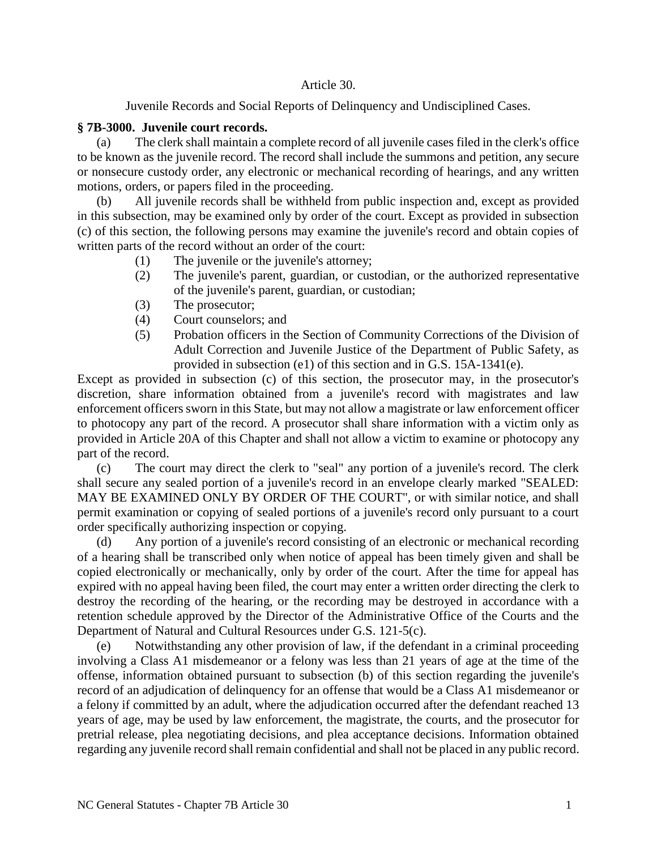## Article 30.

Juvenile Records and Social Reports of Delinquency and Undisciplined Cases.

## **§ 7B-3000. Juvenile court records.**

(a) The clerk shall maintain a complete record of all juvenile cases filed in the clerk's office to be known as the juvenile record. The record shall include the summons and petition, any secure or nonsecure custody order, any electronic or mechanical recording of hearings, and any written motions, orders, or papers filed in the proceeding.

(b) All juvenile records shall be withheld from public inspection and, except as provided in this subsection, may be examined only by order of the court. Except as provided in subsection (c) of this section, the following persons may examine the juvenile's record and obtain copies of written parts of the record without an order of the court:

- (1) The juvenile or the juvenile's attorney;
- (2) The juvenile's parent, guardian, or custodian, or the authorized representative of the juvenile's parent, guardian, or custodian;
- (3) The prosecutor;
- (4) Court counselors; and
- (5) Probation officers in the Section of Community Corrections of the Division of Adult Correction and Juvenile Justice of the Department of Public Safety, as provided in subsection (e1) of this section and in G.S. 15A-1341(e).

Except as provided in subsection (c) of this section, the prosecutor may, in the prosecutor's discretion, share information obtained from a juvenile's record with magistrates and law enforcement officers sworn in this State, but may not allow a magistrate or law enforcement officer to photocopy any part of the record. A prosecutor shall share information with a victim only as provided in Article 20A of this Chapter and shall not allow a victim to examine or photocopy any part of the record.

(c) The court may direct the clerk to "seal" any portion of a juvenile's record. The clerk shall secure any sealed portion of a juvenile's record in an envelope clearly marked "SEALED: MAY BE EXAMINED ONLY BY ORDER OF THE COURT", or with similar notice, and shall permit examination or copying of sealed portions of a juvenile's record only pursuant to a court order specifically authorizing inspection or copying.

(d) Any portion of a juvenile's record consisting of an electronic or mechanical recording of a hearing shall be transcribed only when notice of appeal has been timely given and shall be copied electronically or mechanically, only by order of the court. After the time for appeal has expired with no appeal having been filed, the court may enter a written order directing the clerk to destroy the recording of the hearing, or the recording may be destroyed in accordance with a retention schedule approved by the Director of the Administrative Office of the Courts and the Department of Natural and Cultural Resources under G.S. 121-5(c).

(e) Notwithstanding any other provision of law, if the defendant in a criminal proceeding involving a Class A1 misdemeanor or a felony was less than 21 years of age at the time of the offense, information obtained pursuant to subsection (b) of this section regarding the juvenile's record of an adjudication of delinquency for an offense that would be a Class A1 misdemeanor or a felony if committed by an adult, where the adjudication occurred after the defendant reached 13 years of age, may be used by law enforcement, the magistrate, the courts, and the prosecutor for pretrial release, plea negotiating decisions, and plea acceptance decisions. Information obtained regarding any juvenile record shall remain confidential and shall not be placed in any public record.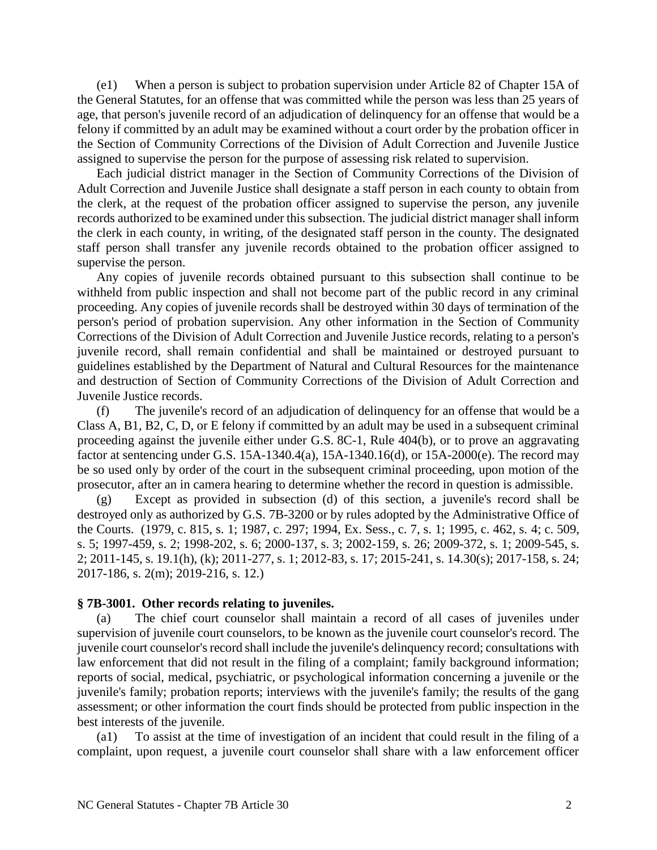(e1) When a person is subject to probation supervision under Article 82 of Chapter 15A of the General Statutes, for an offense that was committed while the person was less than 25 years of age, that person's juvenile record of an adjudication of delinquency for an offense that would be a felony if committed by an adult may be examined without a court order by the probation officer in the Section of Community Corrections of the Division of Adult Correction and Juvenile Justice assigned to supervise the person for the purpose of assessing risk related to supervision.

Each judicial district manager in the Section of Community Corrections of the Division of Adult Correction and Juvenile Justice shall designate a staff person in each county to obtain from the clerk, at the request of the probation officer assigned to supervise the person, any juvenile records authorized to be examined under this subsection. The judicial district manager shall inform the clerk in each county, in writing, of the designated staff person in the county. The designated staff person shall transfer any juvenile records obtained to the probation officer assigned to supervise the person.

Any copies of juvenile records obtained pursuant to this subsection shall continue to be withheld from public inspection and shall not become part of the public record in any criminal proceeding. Any copies of juvenile records shall be destroyed within 30 days of termination of the person's period of probation supervision. Any other information in the Section of Community Corrections of the Division of Adult Correction and Juvenile Justice records, relating to a person's juvenile record, shall remain confidential and shall be maintained or destroyed pursuant to guidelines established by the Department of Natural and Cultural Resources for the maintenance and destruction of Section of Community Corrections of the Division of Adult Correction and Juvenile Justice records.

(f) The juvenile's record of an adjudication of delinquency for an offense that would be a Class A, B1, B2, C, D, or E felony if committed by an adult may be used in a subsequent criminal proceeding against the juvenile either under G.S. 8C-1, Rule 404(b), or to prove an aggravating factor at sentencing under G.S. 15A-1340.4(a), 15A-1340.16(d), or 15A-2000(e). The record may be so used only by order of the court in the subsequent criminal proceeding, upon motion of the prosecutor, after an in camera hearing to determine whether the record in question is admissible.

(g) Except as provided in subsection (d) of this section, a juvenile's record shall be destroyed only as authorized by G.S. 7B-3200 or by rules adopted by the Administrative Office of the Courts. (1979, c. 815, s. 1; 1987, c. 297; 1994, Ex. Sess., c. 7, s. 1; 1995, c. 462, s. 4; c. 509, s. 5; 1997-459, s. 2; 1998-202, s. 6; 2000-137, s. 3; 2002-159, s. 26; 2009-372, s. 1; 2009-545, s. 2; 2011-145, s. 19.1(h), (k); 2011-277, s. 1; 2012-83, s. 17; 2015-241, s. 14.30(s); 2017-158, s. 24; 2017-186, s. 2(m); 2019-216, s. 12.)

## **§ 7B-3001. Other records relating to juveniles.**

(a) The chief court counselor shall maintain a record of all cases of juveniles under supervision of juvenile court counselors, to be known as the juvenile court counselor's record. The juvenile court counselor's record shall include the juvenile's delinquency record; consultations with law enforcement that did not result in the filing of a complaint; family background information; reports of social, medical, psychiatric, or psychological information concerning a juvenile or the juvenile's family; probation reports; interviews with the juvenile's family; the results of the gang assessment; or other information the court finds should be protected from public inspection in the best interests of the juvenile.

(a1) To assist at the time of investigation of an incident that could result in the filing of a complaint, upon request, a juvenile court counselor shall share with a law enforcement officer